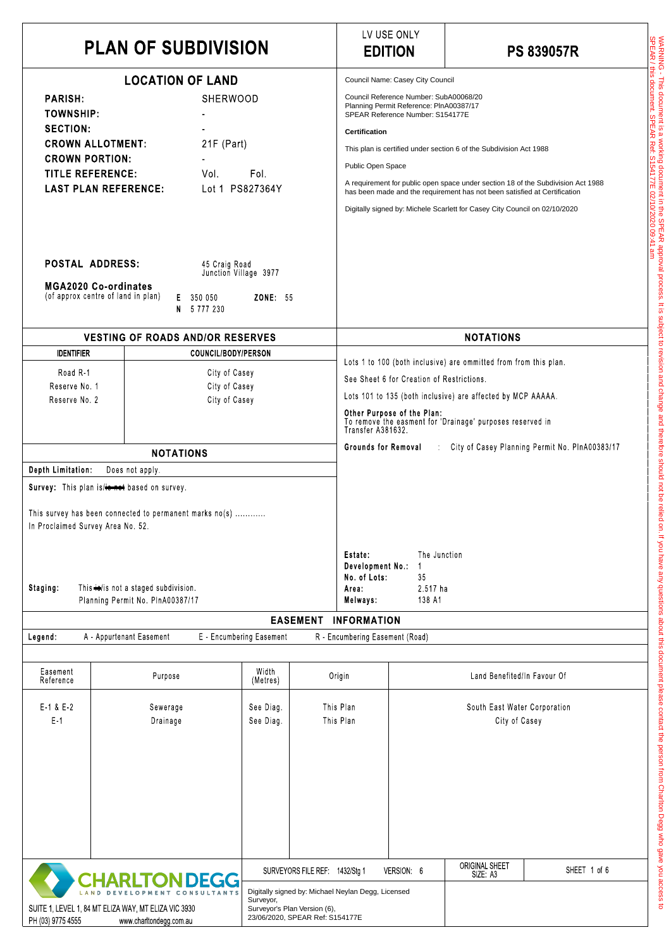| <b>PLAN OF SUBDIVISION</b>                                                                                                                                                                                                                                                                                                                                                                                                                                                                            |                                                                                                        |                                                                 |                                                                                                     | LV USE ONLY<br><b>EDITION</b>                                                                                                                                                                                                                                                                                                                                                                                                                                                                                               |                                  | <b>PS 839057R</b> |
|-------------------------------------------------------------------------------------------------------------------------------------------------------------------------------------------------------------------------------------------------------------------------------------------------------------------------------------------------------------------------------------------------------------------------------------------------------------------------------------------------------|--------------------------------------------------------------------------------------------------------|-----------------------------------------------------------------|-----------------------------------------------------------------------------------------------------|-----------------------------------------------------------------------------------------------------------------------------------------------------------------------------------------------------------------------------------------------------------------------------------------------------------------------------------------------------------------------------------------------------------------------------------------------------------------------------------------------------------------------------|----------------------------------|-------------------|
| <b>LOCATION OF LAND</b><br>SHERWOOD<br><b>PARISH:</b><br><b>TOWNSHIP:</b><br><b>SECTION:</b><br><b>CROWN ALLOTMENT:</b><br>$21F$ (Part)<br><b>CROWN PORTION:</b><br><b>TITLE REFERENCE:</b><br>Fol.<br>Vol.<br><b>LAST PLAN REFERENCE:</b><br>Lot 1 PS827364Y<br><b>POSTAL ADDRESS:</b><br>45 Craig Road<br>Junction Village 3977                                                                                                                                                                     |                                                                                                        |                                                                 |                                                                                                     | Council Name: Casey City Council<br>Council Reference Number: SubA00068/20<br>Planning Permit Reference: PInA00387/17<br>SPEAR Reference Number: S154177E<br><b>Certification</b><br>This plan is certified under section 6 of the Subdivision Act 1988<br>Public Open Space<br>A requirement for public open space under section 18 of the Subdivision Act 1988<br>has been made and the requirement has not been satisfied at Certification<br>Digitally signed by: Michele Scarlett for Casey City Council on 02/10/2020 |                                  |                   |
| <b>MGA2020 Co-ordinates</b><br>(of approx centre of land in plan)                                                                                                                                                                                                                                                                                                                                                                                                                                     | 350 050<br>Е.<br>5 7 7 7 2 3 0<br>N.                                                                   | <b>ZONE: 55</b>                                                 |                                                                                                     |                                                                                                                                                                                                                                                                                                                                                                                                                                                                                                                             |                                  |                   |
| <b>VESTING OF ROADS AND/OR RESERVES</b><br><b>IDENTIFIER</b><br>COUNCIL/BODY/PERSON<br>Road R-1<br>City of Casey<br>Reserve No. 1<br>City of Casey<br>Reserve No. 2<br>City of Casey<br><b>NOTATIONS</b><br>Depth Limitation<br>Does not apply.<br>Survey: This plan is/+0 not based on survey.<br>This survey has been connected to permanent marks no(s)<br>In Proclaimed Survey Area No. 52.<br>This $\leftrightarrow$ is not a staged subdivision.<br>Staging<br>Planning Permit No. PInA00387/17 |                                                                                                        |                                                                 |                                                                                                     | <b>NOTATIONS</b><br>Lots 1 to 100 (both inclusive) are ommitted from from this plan.<br>See Sheet 6 for Creation of Restrictions.<br>Lots 101 to 135 (both inclusive) are affected by MCP AAAAA.<br>Other Purpose of the Plan:<br>To remove the easment for 'Drainage' purposes reserved in<br>Transfer A381632.<br>City of Casey Planning Permit No. PInA00383/17<br>Grounds for Removal<br>The Junction<br>Estate:<br>Development No.:<br>No. of Lots:<br>35<br>2.517 ha<br>Area:<br>Melways<br>138 A1                    |                                  |                   |
| Legend:                                                                                                                                                                                                                                                                                                                                                                                                                                                                                               | A - Appurtenant Easement                                                                               | E Encumbering Easement                                          | <b>EASEMENT</b>                                                                                     | <b>INFORMATION</b><br>R - Encumbering Easement (Road)                                                                                                                                                                                                                                                                                                                                                                                                                                                                       |                                  |                   |
| Easement<br>Reference                                                                                                                                                                                                                                                                                                                                                                                                                                                                                 | Purpose                                                                                                | Width<br>(Metres)                                               | Origin                                                                                              | Land Benefited/In Favour Of                                                                                                                                                                                                                                                                                                                                                                                                                                                                                                 |                                  |                   |
| $E-1$ & $E-2$<br>$E-1$                                                                                                                                                                                                                                                                                                                                                                                                                                                                                | Sewerage<br>Drainage                                                                                   | See Diag.<br>See Diag                                           | This Plan<br>This Plan                                                                              | South East Water Corporation<br>City of Casey                                                                                                                                                                                                                                                                                                                                                                                                                                                                               |                                  |                   |
| PH (03) 9775 4555                                                                                                                                                                                                                                                                                                                                                                                                                                                                                     | <b>HARLTON DEGG</b><br>SUITE 1, LEVEL 1, 84 MT ELIZA WAY, MT ELIZA VIC 3930<br>www.charltondegg.com.au | SURVEYORS FILE REF<br>Surveyor,<br>Surveyor's Plan Version (6), | 1432/Stg 1<br>Digitally signed by: Michael Neylan Degg, Licensed<br>23/06/2020, SPEAR Ref: S154177E | VERSION: 6                                                                                                                                                                                                                                                                                                                                                                                                                                                                                                                  | <b>ORIGINAL SHEET</b><br>SIZE A3 | SHEET 1 of 6      |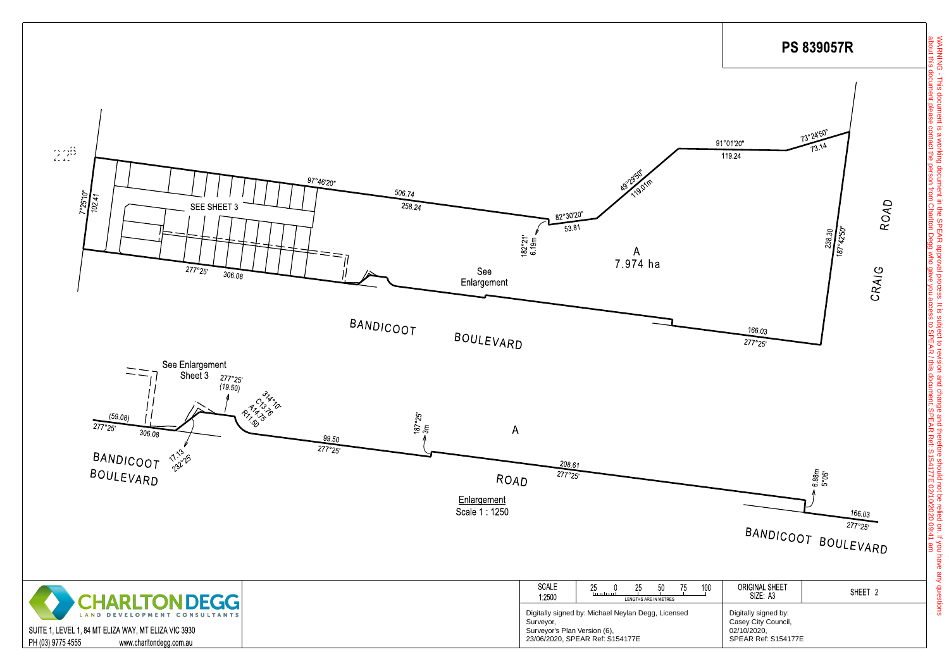

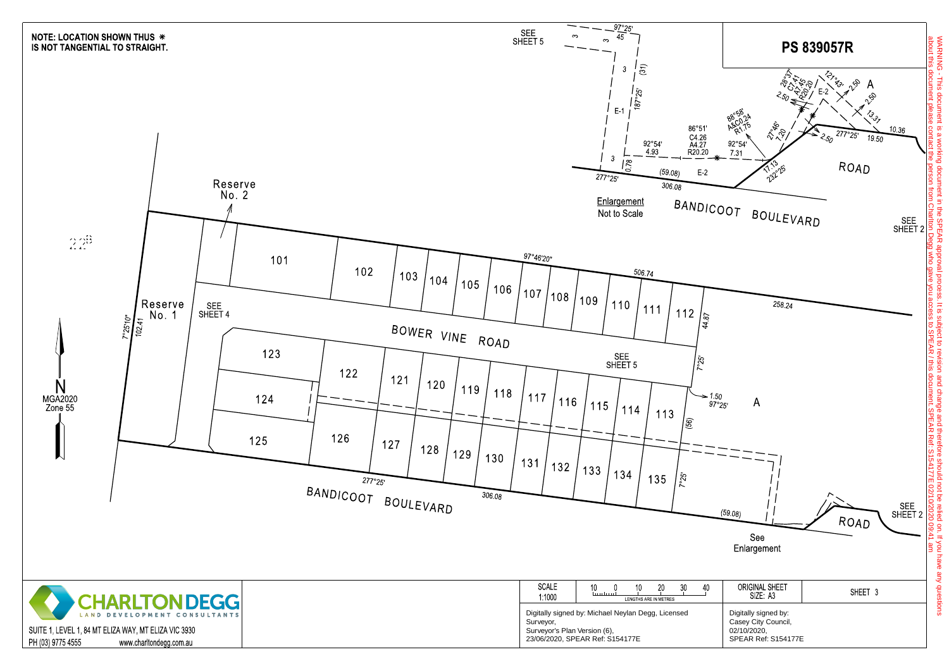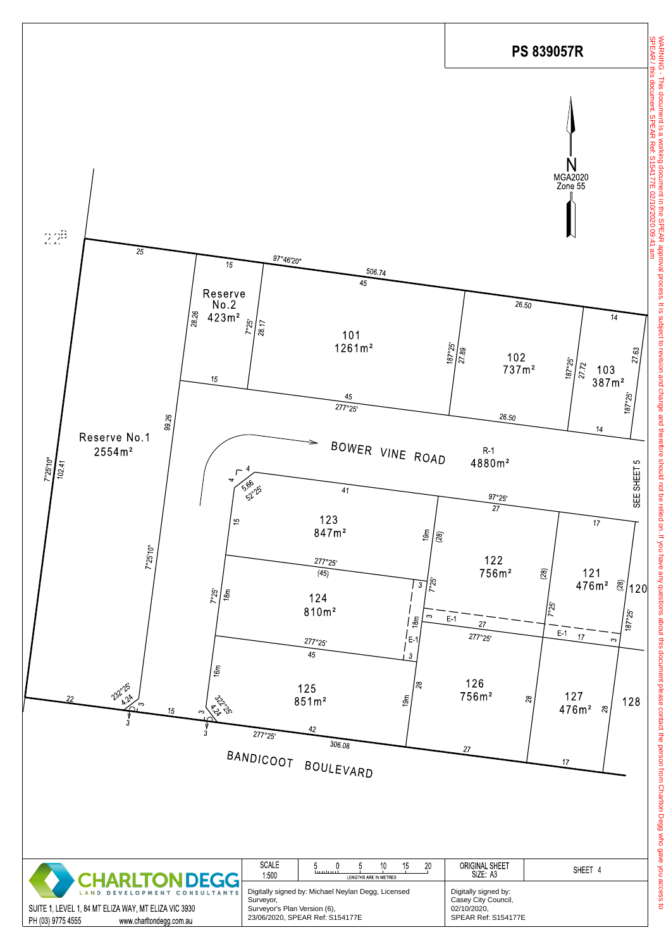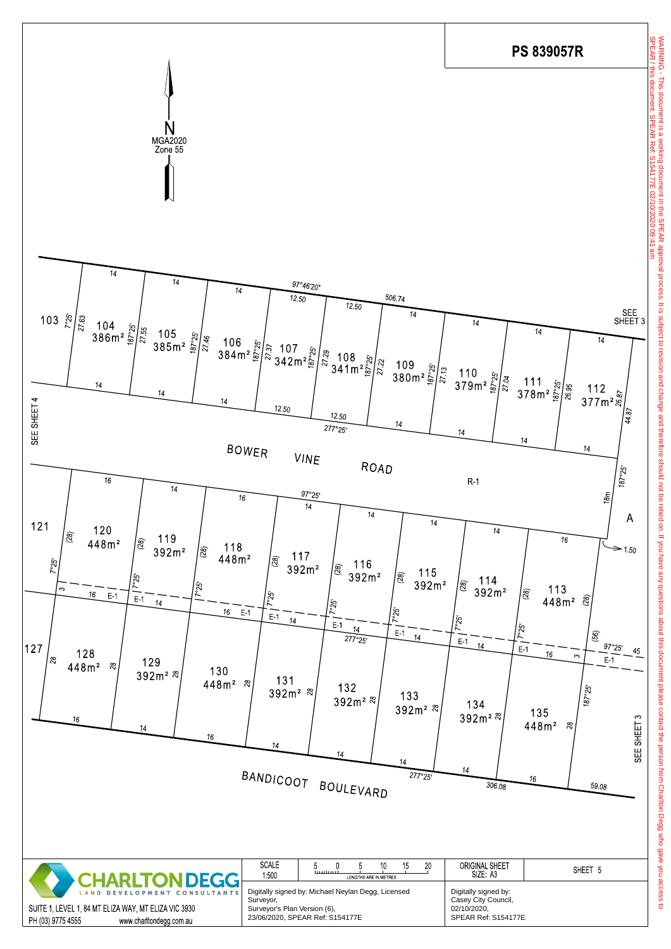